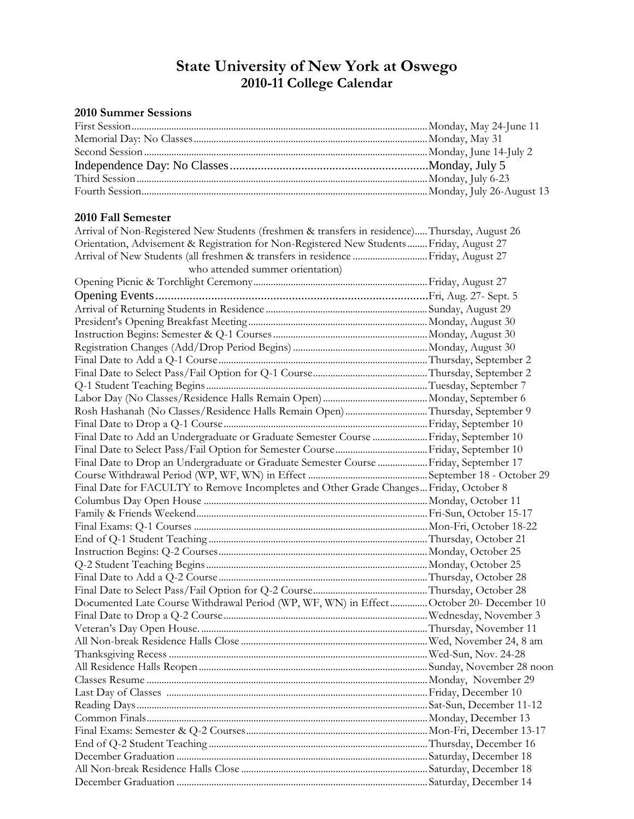## **State University of New York at Oswego 2010-11 College Calendar**

## **2010 Summer Sessions**

| 2010 Fall Semester                                                                             |  |
|------------------------------------------------------------------------------------------------|--|
| Arrival of Non-Registered New Students (freshmen & transfers in residence) Thursday, August 26 |  |
| Orientation, Advisement & Registration for Non-Registered New Students Friday, August 27       |  |
| Arrival of New Students (all freshmen & transfers in residence  Friday, August 27              |  |
| who attended summer orientation)                                                               |  |
|                                                                                                |  |
|                                                                                                |  |
|                                                                                                |  |
|                                                                                                |  |
|                                                                                                |  |
|                                                                                                |  |
|                                                                                                |  |
|                                                                                                |  |
|                                                                                                |  |
|                                                                                                |  |
| Rosh Hashanah (No Classes/Residence Halls Remain Open)Thursday, September 9                    |  |
|                                                                                                |  |
| Final Date to Add an Undergraduate or Graduate Semester Course  Friday, September 10           |  |
|                                                                                                |  |
| Final Date to Drop an Undergraduate or Graduate Semester Course  Friday, September 17          |  |
|                                                                                                |  |
| Final Date for FACULTY to Remove Incompletes and Other Grade Changes Friday, October 8         |  |
|                                                                                                |  |
|                                                                                                |  |
|                                                                                                |  |
|                                                                                                |  |
|                                                                                                |  |
|                                                                                                |  |
|                                                                                                |  |
|                                                                                                |  |
| Documented Late Course Withdrawal Period (WP, WF, WN) in Effect October 20- December 10        |  |
|                                                                                                |  |
|                                                                                                |  |
|                                                                                                |  |
|                                                                                                |  |
|                                                                                                |  |
|                                                                                                |  |
|                                                                                                |  |
|                                                                                                |  |
|                                                                                                |  |
|                                                                                                |  |
|                                                                                                |  |
|                                                                                                |  |
|                                                                                                |  |
|                                                                                                |  |